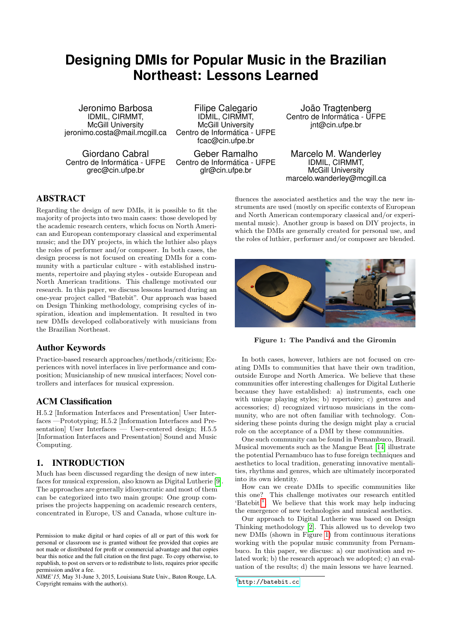# **Designing DMIs for Popular Music in the Brazilian Northeast: Lessons Learned**

Jeronimo Barbosa IDMIL, CIRMMT, McGill University jeronimo.costa@mail.mcgill.ca

Giordano Cabral Centro de Informática - UFPE grec@cin.ufpe.br

Filipe Calegario IDMIL, CIRMMT, McGill University Centro de Informática - UFPE fcac@cin.ufpe.br

Geber Ramalho Centro de Informática - UFPE glr@cin.ufpe.br

João Tragtenberg Centro de Informática - UFPE jnt@cin.ufpe.br

Marcelo M. Wanderley IDMIL, CIRMMT, McGill University marcelo.wanderley@mcgill.ca

# ABSTRACT

Regarding the design of new DMIs, it is possible to fit the majority of projects into two main cases: those developed by the academic research centers, which focus on North American and European contemporary classical and experimental music; and the DIY projects, in which the luthier also plays the roles of performer and/or composer. In both cases, the design process is not focused on creating DMIs for a community with a particular culture - with established instruments, repertoire and playing styles - outside European and North American traditions. This challenge motivated our research. In this paper, we discuss lessons learned during an one-year project called "Batebit". Our approach was based on Design Thinking methodology, comprising cycles of inspiration, ideation and implementation. It resulted in two new DMIs developed collaboratively with musicians from the Brazilian Northeast.

## Author Keywords

Practice-based research approaches/methods/criticism; Experiences with novel interfaces in live performance and composition; Musicianship of new musical interfaces; Novel controllers and interfaces for musical expression.

## ACM Classification

H.5.2 [Information Interfaces and Presentation] User Interfaces —Prototyping; H.5.2 [Information Interfaces and Presentation] User Interfaces — User-centered design; H.5.5 [Information Interfaces and Presentation] Sound and Music Computing.

## 1. INTRODUCTION

Much has been discussed regarding the design of new interfaces for musical expression, also known as Digital Lutherie [\[9\]](#page-3-0). The approaches are generally idiosyncratic and most of them can be categorized into two main groups: One group comprises the projects happening on academic research centers, concentrated in Europe, US and Canada, whose culture in-

*NIME'15,* May 31-June 3, 2015, Louisiana State Univ., Baton Rouge, LA. Copyright remains with the author(s).

fluences the associated aesthetics and the way the new instruments are used (mostly on specific contexts of European and North American contemporary classical and/or experimental music). Another group is based on DIY projects, in which the DMIs are generally created for personal use, and the roles of luthier, performer and/or composer are blended.



Figure 1: The Pandivá and the Giromin

<span id="page-0-1"></span>In both cases, however, luthiers are not focused on creating DMIs to communities that have their own tradition, outside Europe and North America. We believe that these communities offer interesting challenges for Digital Lutherie because they have established: a) instruments, each one with unique playing styles; b) repertoire; c) gestures and accessories; d) recognized virtuoso musicians in the community, who are not often familiar with technology. Considering these points during the design might play a crucial role on the acceptance of a DMI by these communities.

One such community can be found in Pernambuco, Brazil. Musical movements such as the Mangue Beat [\[14\]](#page-3-1) illustrate the potential Pernambuco has to fuse foreign techniques and aesthetics to local tradition, generating innovative mentalities, rhythms and genres, which are ultimately incorporated into its own identity.

How can we create DMIs to specific communities like this one? This challenge motivates our research entitled 'Batebit'<sup>[1](#page-0-0)</sup>. We believe that this work may help inducing the emergence of new technologies and musical aesthetics.

Our approach to Digital Lutherie was based on Design Thinking methodology [\[2\]](#page-3-2). This allowed us to develop two new DMIs (shown in Figure [1\)](#page-0-1) from continuous iterations working with the popular music community from Pernambuco. In this paper, we discuss: a) our motivation and related work; b) the research approach we adopted; c) an evaluation of the results; d) the main lessons we have learned.

Permission to make digital or hard copies of all or part of this work for personal or classroom use is granted without fee provided that copies are not made or distributed for profit or commercial advantage and that copies bear this notice and the full citation on the first page. To copy otherwise, to republish, to post on servers or to redistribute to lists, requires prior specific permission and/or a fee.

<span id="page-0-0"></span><sup>&</sup>lt;sup>1</sup><http://batebit.cc>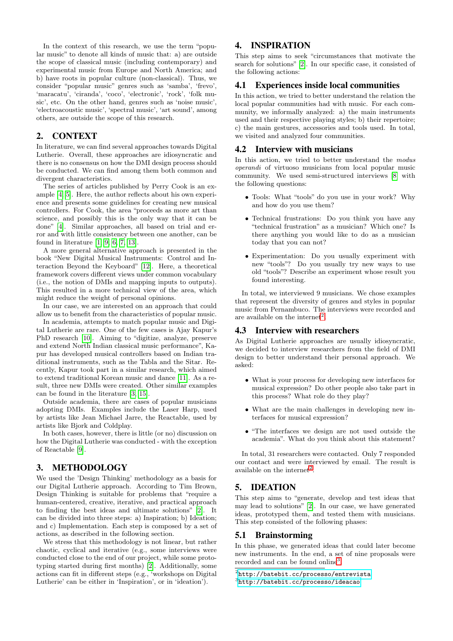In the context of this research, we use the term "popular music" to denote all kinds of music that: a) are outside the scope of classical music (including contemporary) and experimental music from Europe and North America; and b) have roots in popular culture (non-classical). Thus, we consider "popular music" genres such as 'samba', 'frevo', 'maracatu', 'ciranda', 'coco', 'electronic', 'rock', 'folk music', etc. On the other hand, genres such as 'noise music', 'electroacoustic music', 'spectral music', 'art sound', among others, are outside the scope of this research.

#### 2. CONTEXT

In literature, we can find several approaches towards Digital Lutherie. Overall, these approaches are idiosyncratic and there is no consensus on how the DMI design process should be conducted. We can find among them both common and divergent characteristics.

The series of articles published by Perry Cook is an example [\[4,](#page-3-3) [5\]](#page-3-4). Here, the author reflects about his own experience and presents some guidelines for creating new musical controllers. For Cook, the area "proceeds as more art than science, and possibly this is the only way that it can be done" [\[4\]](#page-3-3). Similar approaches, all based on trial and error and with little consistency between one another, can be found in literature [\[1,](#page-3-5) [9,](#page-3-0) [6,](#page-3-6) [7,](#page-3-7) [13\]](#page-3-8).

A more general alternative approach is presented in the book "New Digital Musical Instruments: Control and Interaction Beyond the Keyboard" [\[12\]](#page-3-9). Here, a theoretical framework covers different views under common vocabulary (i.e., the notion of DMIs and mapping inputs to outputs). This resulted in a more technical view of the area, which might reduce the weight of personal opinions.

In our case, we are interested on an approach that could allow us to benefit from the characteristics of popular music.

In academia, attempts to match popular music and Digital Lutherie are rare. One of the few cases is Ajay Kapur's PhD research [\[10\]](#page-3-10). Aiming to "digitize, analyze, preserve and extend North Indian classical music performance", Kapur has developed musical controllers based on Indian traditional instruments, such as the Tabla and the Sitar. Recently, Kapur took part in a similar research, which aimed to extend traditional Korean music and dance [\[11\]](#page-3-11). As a result, three new DMIs were created. Other similar examples can be found in the literature [\[3,](#page-3-12) [15\]](#page-3-13).

Outside academia, there are cases of popular musicians adopting DMIs. Examples include the Laser Harp, used by artists like Jean Michael Jarre, the Reactable, used by artists like Bjork and Coldplay.

In both cases, however, there is little (or no) discussion on how the Digital Lutherie was conducted - with the exception of Reactable [\[9\]](#page-3-0).

#### 3. METHODOLOGY

We used the 'Design Thinking' methodology as a basis for our Digital Lutherie approach. According to Tim Brown, Design Thinking is suitable for problems that "require a human-centered, creative, iterative, and practical approach to finding the best ideas and ultimate solutions" [\[2\]](#page-3-2). It can be divided into three steps: a) Inspiration; b) Ideation; and c) Implementation. Each step is composed by a set of actions, as described in the following section.

We stress that this methodology is not linear, but rather chaotic, cyclical and iterative (e.g., some interviews were conducted close to the end of our project, while some prototyping started during first months) [\[2\]](#page-3-2). Additionally, some actions can fit in different steps (e.g., 'workshops on Digital Lutherie' can be either in 'Inspiration', or in 'ideation').

# 4. INSPIRATION

This step aims to seek "circumstances that motivate the search for solutions" [\[2\]](#page-3-2). In our specific case, it consisted of the following actions:

#### 4.1 Experiences inside local communities

In this action, we tried to better understand the relation the local popular communities had with music. For each community, we informally analyzed: a) the main instruments used and their respective playing styles; b) their repertoire; c) the main gestures, accessories and tools used. In total, we visited and analyzed four communities.

#### 4.2 Interview with musicians

In this action, we tried to better understand the modus operandi of virtuoso musicians from local popular music community. We used semi-structured interviews [\[8\]](#page-3-14) with the following questions:

- Tools: What "tools" do you use in your work? Why and how do you use them?
- Technical frustrations: Do you think you have any "technical frustration" as a musician? Which one? Is there anything you would like to do as a musician today that you can not?
- Experimentation: Do you usually experiment with new "tools"? Do you usually try new ways to use old "tools"? Describe an experiment whose result you found interesting.

In total, we interviewed 9 musicians. We chose examples that represent the diversity of genres and styles in popular music from Pernambuco. The interviews were recorded and are available on the internet<sup>[2](#page-1-0)</sup>.

#### 4.3 Interview with researchers

As Digital Lutherie approaches are usually idiosyncratic, we decided to interview researchers from the field of DMI design to better understand their personal approach. We asked:

- What is your process for developing new interfaces for musical expression? Do other people also take part in this process? What role do they play?
- What are the main challenges in developing new interfaces for musical expression?
- "The interfaces we design are not used outside the academia". What do you think about this statement?

In total, 31 researchers were contacted. Only 7 responded our contact and were interviewed by email. The result is available on the internet<sup>[2](#page-1-0)</sup>.

## 5. IDEATION

This step aims to "generate, develop and test ideas that may lead to solutions" [\[2\]](#page-3-2). In our case, we have generated ideas, prototyped them, and tested them with musicians. This step consisted of the following phases:

#### 5.1 Brainstorming

In this phase, we generated ideas that could later become new instruments. In the end, a set of nine proposals were recorded and can be found online<sup>[3](#page-1-1)</sup>.

<span id="page-1-1"></span><span id="page-1-0"></span> $^{2}$ <http://batebit.cc/processo/entrevista> 3 <http://batebit.cc/processo/ideacao>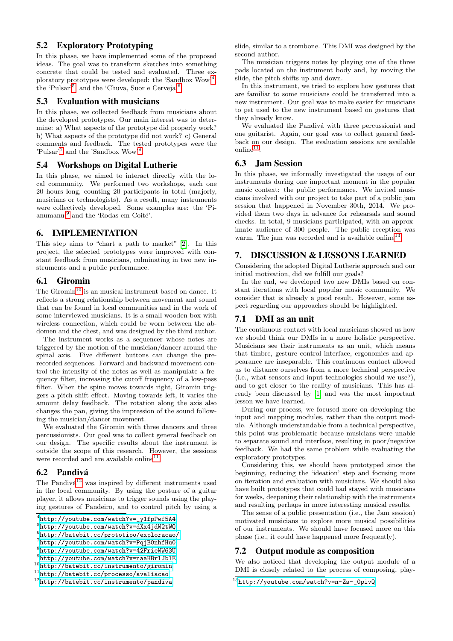# 5.2 Exploratory Prototyping

In this phase, we have implemented some of the proposed ideas. The goal was to transform sketches into something concrete that could be tested and evaluated. Three ex-ploratory prototypes were developed: the 'Sandbox Wow'<sup>[4](#page-2-0)</sup>, the 'Pulsar'<sup>[5](#page-2-1)</sup>, and the 'Chuva, Suor e Cerveja'<sup>[6](#page-2-2)</sup>.

## 5.3 Evaluation with musicians

In this phase, we collected feedback from musicians about the developed prototypes. Our main interest was to determine: a) What aspects of the prototype did properly work? b) What aspects of the prototype did not work? c) General comments and feedback. The tested prototypes were the 'Pulsar'<sup>[7](#page-2-3)</sup> and the 'Sandbox Wow'<sup>[8](#page-2-4)</sup>.

## 5.4 Workshops on Digital Lutherie

In this phase, we aimed to interact directly with the local community. We performed two workshops, each one 20 hours long, counting 20 participants in total (majorly, musicians or technologists). As a result, many instruments were collectively developed. Some examples are: the 'Pi-anumanu'<sup>[9](#page-2-5)</sup> and the 'Rodas em Coité'.

## 6. IMPLEMENTATION

This step aims to "chart a path to market" [\[2\]](#page-3-2). In this project, the selected prototypes were improved with constant feedback from musicians, culminating in two new instruments and a public performance.

### 6.1 Giromin

The Giromin<sup>[10](#page-2-6)</sup> is an musical instrument based on dance. It reflects a strong relationship between movement and sound that can be found in local communities and in the work of some interviewed musicians. It is a small wooden box with wireless connection, which could be worn between the abdomen and the chest, and was designed by the third author.

The instrument works as a sequencer whose notes are triggered by the motion of the musician/dancer around the spinal axis. Five different buttons can change the prerecorded sequences. Forward and backward movement control the intensity of the notes as well as manipulate a frequency filter, increasing the cutoff frequency of a low-pass filter. When the spine moves towards right, Giromin triggers a pitch shift effect. Moving towards left, it varies the amount delay feedback. The rotation along the axis also changes the pan, giving the impression of the sound following the musician/dancer movement.

We evaluated the Giromin with three dancers and three percussionists. Our goal was to collect general feedback on our design. The specific results about the instrument is outside the scope of this research. However, the sessions were recorded and are available online<sup>[11](#page-2-7)</sup>.

# 6.2 Pandivá

The Pandivá<sup>[12](#page-2-8)</sup> was inspired by different instruments used in the local community. By using the posture of a guitar player, it allows musicians to trigger sounds using the playing gestures of Pandeiro, and to control pitch by using a

```
4
http://youtube.com/watch?v=_y1fpPwf5A4
```

```
5
http://youtube.com/watch?v=dXx4jdW2tWQ
```

```
6
http://batebit.cc/prototipo/exploracao/
7
http://youtube.com/watch?v=PqjB0nhfHu0
```

```
8
http://youtube.com/watch?v=42FrieWW63U
```

```
^{9}http://youtube.com/watch?v=naaHBrlJblE
10http://batebit.cc/instrumento/giromin
```

```
11http://batebit.cc/processo/avaliacao
```

```
12http://batebit.cc/instrumento/pandiva
```
slide, similar to a trombone. This DMI was designed by the second author.

The musician triggers notes by playing one of the three pads located on the instrument body and, by moving the slide, the pitch shifts up and down.

In this instrument, we tried to explore how gestures that are familiar to some musicians could be transferred into a new instrument. Our goal was to make easier for musicians to get used to the new instrument based on gestures that they already know.

We evaluated the Pandivá with three percussionist and one guitarist. Again, our goal was to collect general feedback on our design. The evaluation sessions are available  $\text{online}^{11}$  $\text{online}^{11}$  $\text{online}^{11}$ .

## 6.3 Jam Session

In this phase, we informally investigated the usage of our instruments during one important moment in the popular music context: the public performance. We invited musicians involved with our project to take part of a public jam session that happened in November 30th, 2014. We provided them two days in advance for rehearsals and sound checks. In total, 9 musicians participated, with an approximate audience of 300 people. The public reception was warm. The jam was recorded and is available online<sup>[13](#page-2-9)</sup>.

# 7. DISCUSSION & LESSONS LEARNED

Considering the adopted Digital Lutherie approach and our initial motivation, did we fulfill our goals?

In the end, we developed two new DMIs based on constant iterations with local popular music community. We consider that is already a good result. However, some aspect regarding our approaches should be highlighted.

# 7.1 DMI as an unit

The continuous contact with local musicians showed us how we should think our DMIs in a more holistic perspective. Musicians see their instruments as an unit, which means that timbre, gesture control interface, ergonomics and appearance are inseparable. This continuous contact allowed us to distance ourselves from a more technical perspective (i.e., what sensors and input technologies should we use?), and to get closer to the reality of musicians. This has already been discussed by [\[1\]](#page-3-5) and was the most important lesson we have learned.

During our process, we focused more on developing the input and mapping modules, rather than the output module. Although understandable from a technical perspective, this point was problematic because musicians were unable to separate sound and interface, resulting in poor/negative feedback. We had the same problem while evaluating the exploratory prototypes.

Considering this, we should have prototyped since the beginning, reducing the 'ideation' step and focusing more on iteration and evaluation with musicians. We should also have built prototypes that could had stayed with musicians for weeks, deepening their relationship with the instruments and resulting perhaps in more interesting musical results.

The sense of a public presentation (i.e., the Jam session) motivated musicians to explore more musical possibilities of our instruments. We should have focused more on this phase (i.e., it could have happened more frequently).

# 7.2 Output module as composition

We also noticed that developing the output module of a DMI is closely related to the process of composing, play-

<span id="page-2-9"></span> $13$ http://voutube.com/watch?v=n-Zs-\_0pivQ